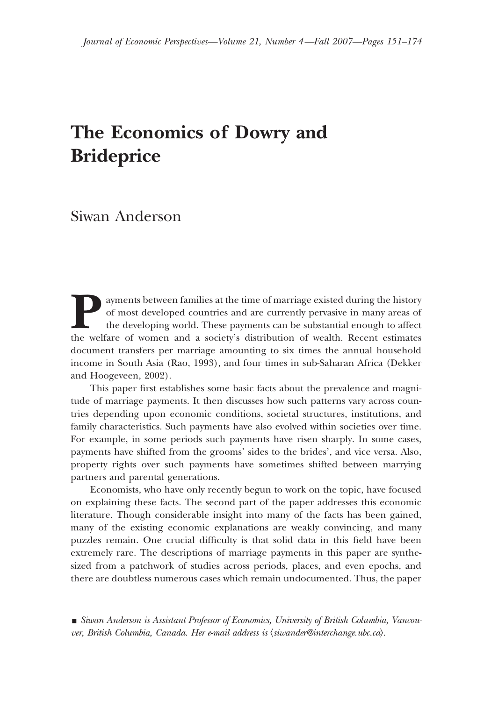# **The Economics of Dowry and Brideprice**

Siwan Anderson

**Payments between families at the time of marriage existed during the history** of most developed countries and are currently pervasive in many areas of the developing world. These payments can be substantial enough to affe of most developed countries and are currently pervasive in many areas of the developing world. These payments can be substantial enough to affect document transfers per marriage amounting to six times the annual household income in South Asia (Rao, 1993), and four times in sub-Saharan Africa (Dekker and Hoogeveen, 2002).

This paper first establishes some basic facts about the prevalence and magnitude of marriage payments. It then discusses how such patterns vary across countries depending upon economic conditions, societal structures, institutions, and family characteristics. Such payments have also evolved within societies over time. For example, in some periods such payments have risen sharply. In some cases, payments have shifted from the grooms' sides to the brides', and vice versa. Also, property rights over such payments have sometimes shifted between marrying partners and parental generations.

Economists, who have only recently begun to work on the topic, have focused on explaining these facts. The second part of the paper addresses this economic literature. Though considerable insight into many of the facts has been gained, many of the existing economic explanations are weakly convincing, and many puzzles remain. One crucial difficulty is that solid data in this field have been extremely rare. The descriptions of marriage payments in this paper are synthesized from a patchwork of studies across periods, places, and even epochs, and there are doubtless numerous cases which remain undocumented. Thus, the paper

<sup>■</sup> Siwan Anderson is Assistant Professor of Economics, University of British Columbia, Vancouver, British Columbia, Canada. Her e-mail address is *(siwander@interchange.ubc.ca)*.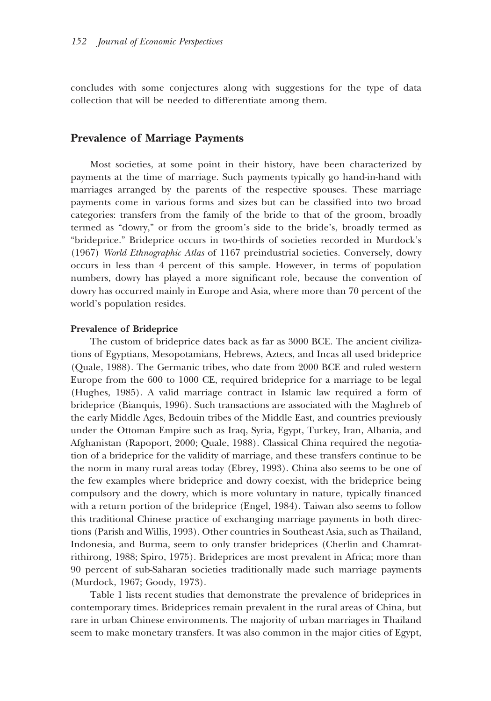concludes with some conjectures along with suggestions for the type of data collection that will be needed to differentiate among them.

## **Prevalence of Marriage Payments**

Most societies, at some point in their history, have been characterized by payments at the time of marriage. Such payments typically go hand-in-hand with marriages arranged by the parents of the respective spouses. These marriage payments come in various forms and sizes but can be classified into two broad categories: transfers from the family of the bride to that of the groom, broadly termed as "dowry," or from the groom's side to the bride's, broadly termed as "brideprice." Brideprice occurs in two-thirds of societies recorded in Murdock's (1967) *World Ethnographic Atlas* of 1167 preindustrial societies. Conversely, dowry occurs in less than 4 percent of this sample. However, in terms of population numbers, dowry has played a more significant role, because the convention of dowry has occurred mainly in Europe and Asia, where more than 70 percent of the world's population resides.

#### **Prevalence of Brideprice**

The custom of brideprice dates back as far as 3000 BCE. The ancient civilizations of Egyptians, Mesopotamians, Hebrews, Aztecs, and Incas all used brideprice (Quale, 1988). The Germanic tribes, who date from 2000 BCE and ruled western Europe from the 600 to 1000 CE, required brideprice for a marriage to be legal (Hughes, 1985). A valid marriage contract in Islamic law required a form of brideprice (Bianquis, 1996). Such transactions are associated with the Maghreb of the early Middle Ages, Bedouin tribes of the Middle East, and countries previously under the Ottoman Empire such as Iraq, Syria, Egypt, Turkey, Iran, Albania, and Afghanistan (Rapoport, 2000; Quale, 1988). Classical China required the negotiation of a brideprice for the validity of marriage, and these transfers continue to be the norm in many rural areas today (Ebrey, 1993). China also seems to be one of the few examples where brideprice and dowry coexist, with the brideprice being compulsory and the dowry, which is more voluntary in nature, typically financed with a return portion of the brideprice (Engel, 1984). Taiwan also seems to follow this traditional Chinese practice of exchanging marriage payments in both directions (Parish and Willis, 1993). Other countries in Southeast Asia, such as Thailand, Indonesia, and Burma, seem to only transfer brideprices (Cherlin and Chamratrithirong, 1988; Spiro, 1975). Brideprices are most prevalent in Africa; more than 90 percent of sub-Saharan societies traditionally made such marriage payments (Murdock, 1967; Goody, 1973).

Table 1 lists recent studies that demonstrate the prevalence of brideprices in contemporary times. Brideprices remain prevalent in the rural areas of China, but rare in urban Chinese environments. The majority of urban marriages in Thailand seem to make monetary transfers. It was also common in the major cities of Egypt,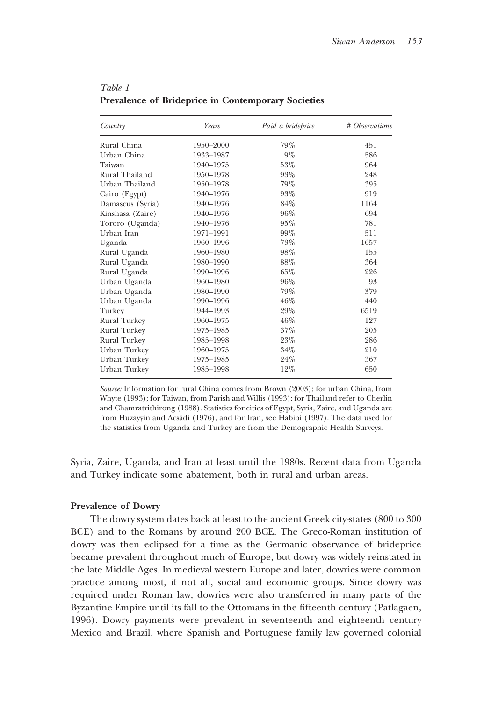| Country          | Years     | Paid a brideprice | # Observations |
|------------------|-----------|-------------------|----------------|
| Rural China      | 1950-2000 | 79%               | 451            |
| Urban China      | 1933-1987 | $9\%$             | 586            |
| Taiwan           | 1940-1975 | 53%               | 964            |
| Rural Thailand   | 1950-1978 | 93%               | 248            |
| Urban Thailand   | 1950-1978 | 79%               | 395            |
| Cairo (Egypt)    | 1940-1976 | 93%               | 919            |
| Damascus (Syria) | 1940-1976 | 84%               | 1164           |
| Kinshasa (Zaire) | 1940-1976 | 96%               | 694            |
| Tororo (Uganda)  | 1940-1976 | 95%               | 781            |
| Urban Iran       | 1971-1991 | 99%               | 511            |
| Uganda           | 1960-1996 | 73%               | 1657           |
| Rural Uganda     | 1960-1980 | 98%               | 155            |
| Rural Uganda     | 1980-1990 | 88%               | 364            |
| Rural Uganda     | 1990-1996 | 65%               | 226            |
| Urban Uganda     | 1960-1980 | 96%               | 93             |
| Urban Uganda     | 1980-1990 | 79%               | 379            |
| Urban Uganda     | 1990-1996 | 46%               | 440            |
| Turkey           | 1944-1993 | 29%               | 6519           |
| Rural Turkey     | 1960-1975 | 46%               | 127            |
| Rural Turkey     | 1975-1985 | 37%               | 205            |
| Rural Turkey     | 1985-1998 | 23%               | 286            |
| Urban Turkey     | 1960-1975 | 34%               | 210            |
| Urban Turkey     | 1975-1985 | 24%               | 367            |
| Urban Turkey     | 1985-1998 | 12%               | 650            |

# *Table 1* **Prevalence of Brideprice in Contemporary Societies**

*Source:* Information for rural China comes from Brown (2003); for urban China, from Whyte (1993); for Taiwan, from Parish and Willis (1993); for Thailand refer to Cherlin and Chamratrithirong (1988). Statistics for cities of Egypt, Syria, Zaire, and Uganda are from Huzayyin and Acsádi (1976), and for Iran, see Habibi (1997). The data used for the statistics from Uganda and Turkey are from the Demographic Health Surveys.

Syria, Zaire, Uganda, and Iran at least until the 1980s. Recent data from Uganda and Turkey indicate some abatement, both in rural and urban areas.

## **Prevalence of Dowry**

The dowry system dates back at least to the ancient Greek city-states (800 to 300 BCE) and to the Romans by around 200 BCE. The Greco-Roman institution of dowry was then eclipsed for a time as the Germanic observance of brideprice became prevalent throughout much of Europe, but dowry was widely reinstated in the late Middle Ages. In medieval western Europe and later, dowries were common practice among most, if not all, social and economic groups. Since dowry was required under Roman law, dowries were also transferred in many parts of the Byzantine Empire until its fall to the Ottomans in the fifteenth century (Patlagaen, 1996). Dowry payments were prevalent in seventeenth and eighteenth century Mexico and Brazil, where Spanish and Portuguese family law governed colonial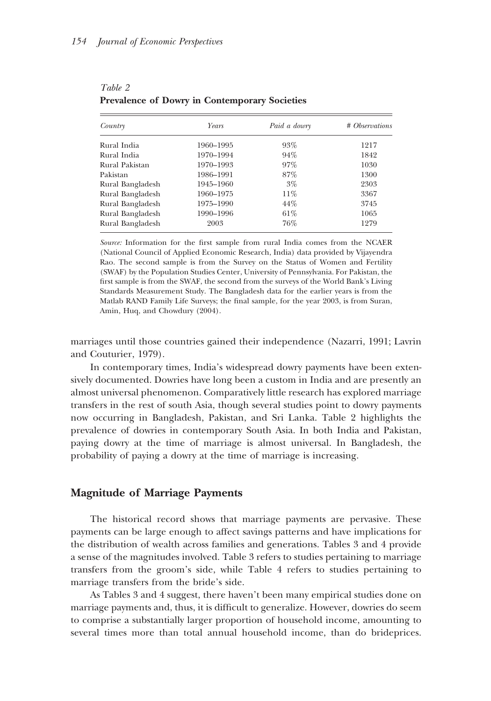| Country          | Years     | Paid a dowry | # Observations |  |
|------------------|-----------|--------------|----------------|--|
| Rural India      | 1960-1995 | 93%          | 1217           |  |
| Rural India      | 1970-1994 | 94%          | 1842           |  |
| Rural Pakistan   | 1970-1993 | 97%          | 1030           |  |
| Pakistan         | 1986-1991 | 87%          | 1300           |  |
| Rural Bangladesh | 1945-1960 | $3\%$        | 2303           |  |
| Rural Bangladesh | 1960-1975 | 11%          | 3367           |  |
| Rural Bangladesh | 1975-1990 | 44%          | 3745           |  |
| Rural Bangladesh | 1990-1996 | 61%          | 1065           |  |
| Rural Bangladesh | 2003      | 76%          | 1279           |  |

# *Table 2* **Prevalence of Dowry in Contemporary Societies**

*Source:* Information for the first sample from rural India comes from the NCAER (National Council of Applied Economic Research, India) data provided by Vijayendra Rao. The second sample is from the Survey on the Status of Women and Fertility (SWAF) by the Population Studies Center, University of Pennsylvania. For Pakistan, the first sample is from the SWAF, the second from the surveys of the World Bank's Living Standards Measurement Study. The Bangladesh data for the earlier years is from the Matlab RAND Family Life Surveys; the final sample, for the year 2003, is from Suran, Amin, Huq, and Chowdury (2004).

marriages until those countries gained their independence (Nazarri, 1991; Lavrin and Couturier, 1979).

In contemporary times, India's widespread dowry payments have been extensively documented. Dowries have long been a custom in India and are presently an almost universal phenomenon. Comparatively little research has explored marriage transfers in the rest of south Asia, though several studies point to dowry payments now occurring in Bangladesh, Pakistan, and Sri Lanka. Table 2 highlights the prevalence of dowries in contemporary South Asia. In both India and Pakistan, paying dowry at the time of marriage is almost universal. In Bangladesh, the probability of paying a dowry at the time of marriage is increasing.

### **Magnitude of Marriage Payments**

The historical record shows that marriage payments are pervasive. These payments can be large enough to affect savings patterns and have implications for the distribution of wealth across families and generations. Tables 3 and 4 provide a sense of the magnitudes involved. Table 3 refers to studies pertaining to marriage transfers from the groom's side, while Table 4 refers to studies pertaining to marriage transfers from the bride's side.

As Tables 3 and 4 suggest, there haven't been many empirical studies done on marriage payments and, thus, it is difficult to generalize. However, dowries do seem to comprise a substantially larger proportion of household income, amounting to several times more than total annual household income, than do brideprices.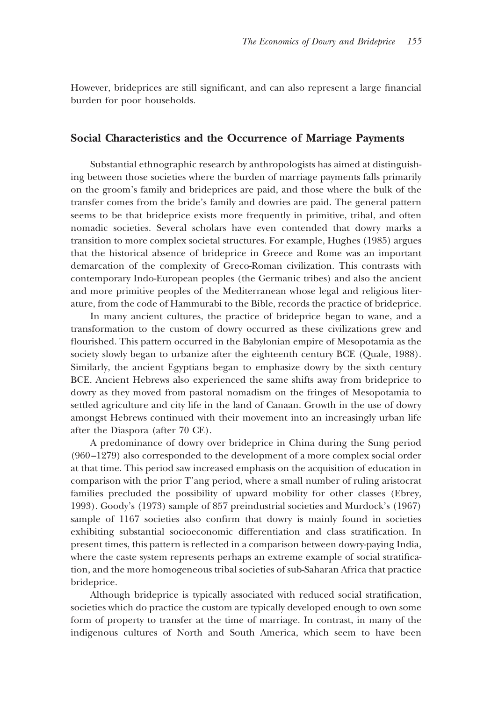However, brideprices are still significant, and can also represent a large financial burden for poor households.

### **Social Characteristics and the Occurrence of Marriage Payments**

Substantial ethnographic research by anthropologists has aimed at distinguishing between those societies where the burden of marriage payments falls primarily on the groom's family and brideprices are paid, and those where the bulk of the transfer comes from the bride's family and dowries are paid. The general pattern seems to be that brideprice exists more frequently in primitive, tribal, and often nomadic societies. Several scholars have even contended that dowry marks a transition to more complex societal structures. For example, Hughes (1985) argues that the historical absence of brideprice in Greece and Rome was an important demarcation of the complexity of Greco-Roman civilization. This contrasts with contemporary Indo-European peoples (the Germanic tribes) and also the ancient and more primitive peoples of the Mediterranean whose legal and religious literature, from the code of Hammurabi to the Bible, records the practice of brideprice.

In many ancient cultures, the practice of brideprice began to wane, and a transformation to the custom of dowry occurred as these civilizations grew and flourished. This pattern occurred in the Babylonian empire of Mesopotamia as the society slowly began to urbanize after the eighteenth century BCE (Quale, 1988). Similarly, the ancient Egyptians began to emphasize dowry by the sixth century BCE. Ancient Hebrews also experienced the same shifts away from brideprice to dowry as they moved from pastoral nomadism on the fringes of Mesopotamia to settled agriculture and city life in the land of Canaan. Growth in the use of dowry amongst Hebrews continued with their movement into an increasingly urban life after the Diaspora (after 70 CE).

A predominance of dowry over brideprice in China during the Sung period (960–1279) also corresponded to the development of a more complex social order at that time. This period saw increased emphasis on the acquisition of education in comparison with the prior T'ang period, where a small number of ruling aristocrat families precluded the possibility of upward mobility for other classes (Ebrey, 1993). Goody's (1973) sample of 857 preindustrial societies and Murdock's (1967) sample of 1167 societies also confirm that dowry is mainly found in societies exhibiting substantial socioeconomic differentiation and class stratification. In present times, this pattern is reflected in a comparison between dowry-paying India, where the caste system represents perhaps an extreme example of social stratification, and the more homogeneous tribal societies of sub-Saharan Africa that practice brideprice.

Although brideprice is typically associated with reduced social stratification, societies which do practice the custom are typically developed enough to own some form of property to transfer at the time of marriage. In contrast, in many of the indigenous cultures of North and South America, which seem to have been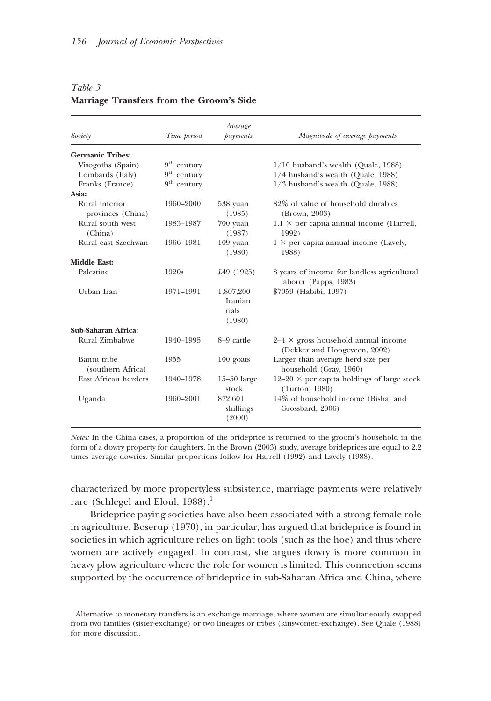| Society                             | Time period   | Average<br>payments                     | Magnitude of average payments                                              |
|-------------------------------------|---------------|-----------------------------------------|----------------------------------------------------------------------------|
|                                     |               |                                         |                                                                            |
| <b>Germanic Tribes:</b>             |               |                                         |                                                                            |
| Visogoths (Spain)                   | $9th$ century |                                         | $1/10$ husband's wealth (Quale, 1988)                                      |
| Lombards (Italy)                    | $9th$ century |                                         | $1/4$ husband's wealth (Quale, 1988)                                       |
| Franks (France)                     | $9th$ century |                                         | 1/3 husband's wealth (Quale, 1988)                                         |
| Asia:                               |               |                                         |                                                                            |
| Rural interior<br>provinces (China) | 1960-2000     | 538 yuan<br>(1985)                      | 82\% of value of household durables<br>(Brown, 2003)                       |
| Rural south west<br>(China)         | 1983-1987     | 700 yuan<br>(1987)                      | $1.1 \times$ per capita annual income (Harrell,<br>1992)                   |
| Rural east Szechwan                 | 1966-1981     | $109$ yuan<br>(1980)                    | $1 \times$ per capita annual income (Lavely,<br>1988)                      |
| <b>Middle East:</b>                 |               |                                         |                                                                            |
| Palestine                           | 1920s         | £49 (1925)                              | 8 years of income for landless agricultural<br>laborer (Papps, 1983)       |
| Urban Iran                          | 1971-1991     | 1,807,200<br>Iranian<br>rials<br>(1980) | \$7059 (Habibi, 1997)                                                      |
| Sub-Saharan Africa:                 |               |                                         |                                                                            |
| Rural Zimbabwe                      | 1940-1995     | 8-9 cattle                              | $2-4 \times$ gross household annual income<br>(Dekker and Hoogeveen, 2002) |
| Bantu tribe<br>(southern Africa)    | 1955          | $100$ goats                             | Larger than average herd size per<br>household (Gray, 1960)                |
| East African herders                | 1940-1978     | $15-50$ large<br>stock                  | $12-20 \times$ per capita holdings of large stock<br>(Turton, 1980)        |
| Uganda                              | 1960-2001     | 872,601<br>shillings<br>(2000)          | 14% of household income (Bishai and<br>Grossbard, 2006)                    |

# *Table 3* **Marriage Transfers from the Groom's Side**

*Notes:* In the China cases, a proportion of the brideprice is returned to the groom's household in the form of a dowry property for daughters. In the Brown (2003) study, average brideprices are equal to 2.2 times average dowries. Similar proportions follow for Harrell (1992) and Lavely (1988).

characterized by more propertyless subsistence, marriage payments were relatively rare (Schlegel and Eloul, 1988).<sup>1</sup>

Brideprice-paying societies have also been associated with a strong female role in agriculture. Boserup (1970), in particular, has argued that brideprice is found in societies in which agriculture relies on light tools (such as the hoe) and thus where women are actively engaged. In contrast, she argues dowry is more common in heavy plow agriculture where the role for women is limited. This connection seems supported by the occurrence of brideprice in sub-Saharan Africa and China, where

<sup>&</sup>lt;sup>1</sup> Alternative to monetary transfers is an exchange marriage, where women are simultaneously swapped from two families (sister-exchange) or two lineages or tribes (kinswomen-exchange). See Quale (1988) for more discussion.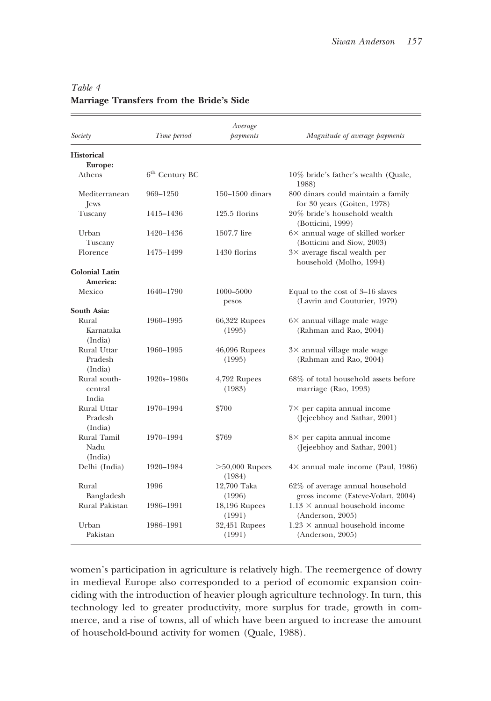|                                   |                  | Average                    |                                                                       |
|-----------------------------------|------------------|----------------------------|-----------------------------------------------------------------------|
| Society                           | Time period      | payments                   | Magnitude of average payments                                         |
| <b>Historical</b><br>Europe:      |                  |                            |                                                                       |
| Athens                            | $6th$ Century BC |                            | 10\% bride's father's wealth (Quale,<br>1988)                         |
| Mediterranean<br><b>J</b> ews     | 969–1250         | 150-1500 dinars            | 800 dinars could maintain a family<br>for 30 years (Goiten, 1978)     |
| Tuscany                           | 1415–1436        | $125.5$ florins            | 20% bride's household wealth<br>(Botticini, 1999)                     |
| Urban<br>Tuscany                  | 1420–1436        | 1507.7 lire                | $6\times$ annual wage of skilled worker<br>(Botticini and Siow, 2003) |
| Florence                          | 1475-1499        | 1430 florins               | 3× average fiscal wealth per<br>household (Molho, 1994)               |
| <b>Colonial Latin</b>             |                  |                            |                                                                       |
| America:                          |                  |                            |                                                                       |
| Mexico                            | 1640-1790        | 1000-5000<br>pesos         | Equal to the cost of 3–16 slaves<br>(Lavrin and Couturier, 1979)      |
| South Asia:                       |                  |                            |                                                                       |
| Rural<br>Karnataka<br>(India)     | 1960–1995        | 66,322 Rupees<br>(1995)    | $6\times$ annual village male wage<br>(Rahman and Rao, 2004)          |
| Rural Uttar<br>Pradesh<br>(India) | 1960–1995        | $46,096$ Rupees<br>(1995)  | $3\times$ annual village male wage<br>(Rahman and Rao, 2004)          |
| Rural south-<br>central<br>India  | $1920s - 1980s$  | 4,792 Rupees<br>(1983)     | 68% of total household assets before<br>marriage (Rao, 1993)          |
| Rural Uttar<br>Pradesh<br>(India) | 1970–1994        | \$700                      | 7× per capita annual income<br>(Jejeebhoy and Sathar, 2001)           |
| Rural Tamil<br>Nadu<br>(India)    | 1970–1994        | \$769                      | 8× per capita annual income<br>(Jejeebhoy and Sathar, 2001)           |
| Delhi (India)                     | 1920–1984        | $>50,000$ Rupees<br>(1984) | $4\times$ annual male income (Paul, 1986)                             |
| Rural<br>Bangladesh               | 1996             | 12,700 Taka<br>(1996)      | 62% of average annual household<br>gross income (Esteve-Volart, 2004) |
| Rural Pakistan                    | 1986–1991        | 18,196 Rupees<br>(1991)    | $1.13 \times$ annual household income<br>(Anderson, 2005)             |
| Urban<br>Pakistan                 | 1986-1991        | 32,451 Rupees<br>(1991)    | $1.23 \times$ annual household income<br>(Anderson, 2005)             |

# *Table 4* **Marriage Transfers from the Bride's Side**

women's participation in agriculture is relatively high. The reemergence of dowry in medieval Europe also corresponded to a period of economic expansion coinciding with the introduction of heavier plough agriculture technology. In turn, this technology led to greater productivity, more surplus for trade, growth in commerce, and a rise of towns, all of which have been argued to increase the amount of household-bound activity for women (Quale, 1988).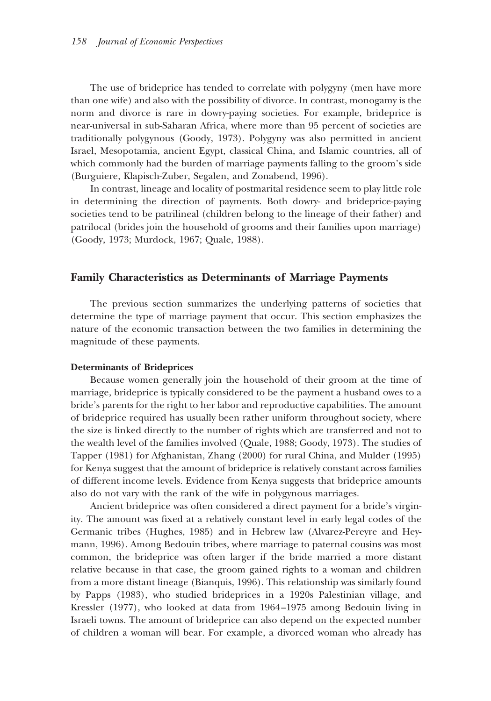The use of brideprice has tended to correlate with polygyny (men have more than one wife) and also with the possibility of divorce. In contrast, monogamy is the norm and divorce is rare in dowry-paying societies. For example, brideprice is near-universal in sub-Saharan Africa, where more than 95 percent of societies are traditionally polygynous (Goody, 1973). Polygyny was also permitted in ancient Israel, Mesopotamia, ancient Egypt, classical China, and Islamic countries, all of which commonly had the burden of marriage payments falling to the groom's side (Burguiere, Klapisch-Zuber, Segalen, and Zonabend, 1996).

In contrast, lineage and locality of postmarital residence seem to play little role in determining the direction of payments. Both dowry- and brideprice-paying societies tend to be patrilineal (children belong to the lineage of their father) and patrilocal (brides join the household of grooms and their families upon marriage) (Goody, 1973; Murdock, 1967; Quale, 1988).

# **Family Characteristics as Determinants of Marriage Payments**

The previous section summarizes the underlying patterns of societies that determine the type of marriage payment that occur. This section emphasizes the nature of the economic transaction between the two families in determining the magnitude of these payments.

#### **Determinants of Brideprices**

Because women generally join the household of their groom at the time of marriage, brideprice is typically considered to be the payment a husband owes to a bride's parents for the right to her labor and reproductive capabilities. The amount of brideprice required has usually been rather uniform throughout society, where the size is linked directly to the number of rights which are transferred and not to the wealth level of the families involved (Quale, 1988; Goody, 1973). The studies of Tapper (1981) for Afghanistan, Zhang (2000) for rural China, and Mulder (1995) for Kenya suggest that the amount of brideprice is relatively constant across families of different income levels. Evidence from Kenya suggests that brideprice amounts also do not vary with the rank of the wife in polygynous marriages.

Ancient brideprice was often considered a direct payment for a bride's virginity. The amount was fixed at a relatively constant level in early legal codes of the Germanic tribes (Hughes, 1985) and in Hebrew law (Alvarez-Pereyre and Heymann, 1996). Among Bedouin tribes, where marriage to paternal cousins was most common, the brideprice was often larger if the bride married a more distant relative because in that case, the groom gained rights to a woman and children from a more distant lineage (Bianquis, 1996). This relationship was similarly found by Papps (1983), who studied brideprices in a 1920s Palestinian village, and Kressler (1977), who looked at data from 1964–1975 among Bedouin living in Israeli towns. The amount of brideprice can also depend on the expected number of children a woman will bear. For example, a divorced woman who already has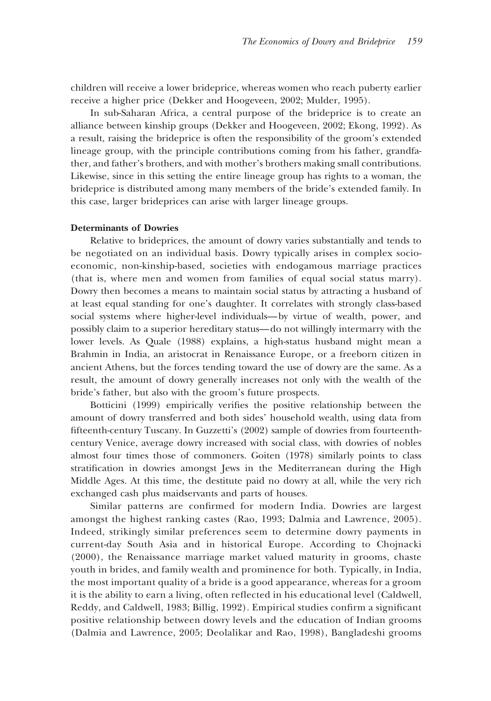children will receive a lower brideprice, whereas women who reach puberty earlier receive a higher price (Dekker and Hoogeveen, 2002; Mulder, 1995).

In sub-Saharan Africa, a central purpose of the brideprice is to create an alliance between kinship groups (Dekker and Hoogeveen, 2002; Ekong, 1992). As a result, raising the brideprice is often the responsibility of the groom's extended lineage group, with the principle contributions coming from his father, grandfather, and father's brothers, and with mother's brothers making small contributions. Likewise, since in this setting the entire lineage group has rights to a woman, the brideprice is distributed among many members of the bride's extended family. In this case, larger brideprices can arise with larger lineage groups.

#### **Determinants of Dowries**

Relative to brideprices, the amount of dowry varies substantially and tends to be negotiated on an individual basis. Dowry typically arises in complex socioeconomic, non-kinship-based, societies with endogamous marriage practices (that is, where men and women from families of equal social status marry). Dowry then becomes a means to maintain social status by attracting a husband of at least equal standing for one's daughter. It correlates with strongly class-based social systems where higher-level individuals—by virtue of wealth, power, and possibly claim to a superior hereditary status—do not willingly intermarry with the lower levels. As Quale (1988) explains, a high-status husband might mean a Brahmin in India, an aristocrat in Renaissance Europe, or a freeborn citizen in ancient Athens, but the forces tending toward the use of dowry are the same. As a result, the amount of dowry generally increases not only with the wealth of the bride's father, but also with the groom's future prospects.

Botticini (1999) empirically verifies the positive relationship between the amount of dowry transferred and both sides' household wealth, using data from fifteenth-century Tuscany. In Guzzetti's (2002) sample of dowries from fourteenthcentury Venice, average dowry increased with social class, with dowries of nobles almost four times those of commoners. Goiten (1978) similarly points to class stratification in dowries amongst Jews in the Mediterranean during the High Middle Ages. At this time, the destitute paid no dowry at all, while the very rich exchanged cash plus maidservants and parts of houses.

Similar patterns are confirmed for modern India. Dowries are largest amongst the highest ranking castes (Rao, 1993; Dalmia and Lawrence, 2005). Indeed, strikingly similar preferences seem to determine dowry payments in current-day South Asia and in historical Europe. According to Chojnacki (2000), the Renaissance marriage market valued maturity in grooms, chaste youth in brides, and family wealth and prominence for both. Typically, in India, the most important quality of a bride is a good appearance, whereas for a groom it is the ability to earn a living, often reflected in his educational level (Caldwell, Reddy, and Caldwell, 1983; Billig, 1992). Empirical studies confirm a significant positive relationship between dowry levels and the education of Indian grooms (Dalmia and Lawrence, 2005; Deolalikar and Rao, 1998), Bangladeshi grooms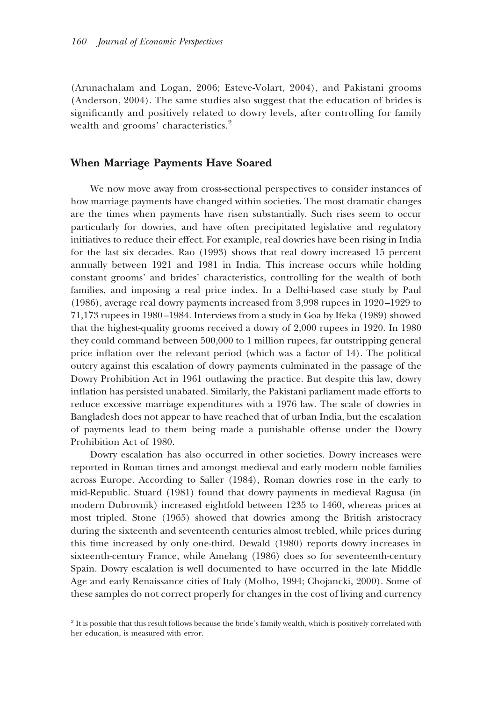(Arunachalam and Logan, 2006; Esteve-Volart, 2004), and Pakistani grooms (Anderson, 2004). The same studies also suggest that the education of brides is significantly and positively related to dowry levels, after controlling for family wealth and grooms' characteristics.<sup>2</sup>

# **When Marriage Payments Have Soared**

We now move away from cross-sectional perspectives to consider instances of how marriage payments have changed within societies. The most dramatic changes are the times when payments have risen substantially. Such rises seem to occur particularly for dowries, and have often precipitated legislative and regulatory initiatives to reduce their effect. For example, real dowries have been rising in India for the last six decades. Rao (1993) shows that real dowry increased 15 percent annually between 1921 and 1981 in India. This increase occurs while holding constant grooms' and brides' characteristics, controlling for the wealth of both families, and imposing a real price index. In a Delhi-based case study by Paul (1986), average real dowry payments increased from 3,998 rupees in 1920–1929 to 71,173 rupees in 1980–1984. Interviews from a study in Goa by Ifeka (1989) showed that the highest-quality grooms received a dowry of 2,000 rupees in 1920. In 1980 they could command between 500,000 to 1 million rupees, far outstripping general price inflation over the relevant period (which was a factor of 14). The political outcry against this escalation of dowry payments culminated in the passage of the Dowry Prohibition Act in 1961 outlawing the practice. But despite this law, dowry inflation has persisted unabated. Similarly, the Pakistani parliament made efforts to reduce excessive marriage expenditures with a 1976 law. The scale of dowries in Bangladesh does not appear to have reached that of urban India, but the escalation of payments lead to them being made a punishable offense under the Dowry Prohibition Act of 1980.

Dowry escalation has also occurred in other societies. Dowry increases were reported in Roman times and amongst medieval and early modern noble families across Europe. According to Saller (1984), Roman dowries rose in the early to mid-Republic. Stuard (1981) found that dowry payments in medieval Ragusa (in modern Dubrovnik) increased eightfold between 1235 to 1460, whereas prices at most tripled. Stone (1965) showed that dowries among the British aristocracy during the sixteenth and seventeenth centuries almost trebled, while prices during this time increased by only one-third. Dewald (1980) reports dowry increases in sixteenth-century France, while Amelang (1986) does so for seventeenth-century Spain. Dowry escalation is well documented to have occurred in the late Middle Age and early Renaissance cities of Italy (Molho, 1994; Chojancki, 2000). Some of these samples do not correct properly for changes in the cost of living and currency

<sup>2</sup> It is possible that this result follows because the bride's family wealth, which is positively correlated with her education, is measured with error.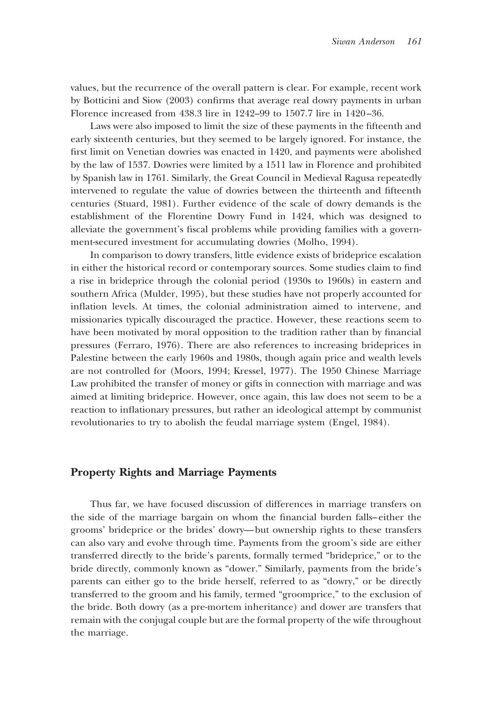values, but the recurrence of the overall pattern is clear. For example, recent work by Botticini and Siow (2003) confirms that average real dowry payments in urban Florence increased from 438.3 lire in 1242–99 to 1507.7 lire in 1420–36.

Laws were also imposed to limit the size of these payments in the fifteenth and early sixteenth centuries, but they seemed to be largely ignored. For instance, the first limit on Venetian dowries was enacted in 1420, and payments were abolished by the law of 1537. Dowries were limited by a 1511 law in Florence and prohibited by Spanish law in 1761. Similarly, the Great Council in Medieval Ragusa repeatedly intervened to regulate the value of dowries between the thirteenth and fifteenth centuries (Stuard, 1981). Further evidence of the scale of dowry demands is the establishment of the Florentine Dowry Fund in 1424, which was designed to alleviate the government's fiscal problems while providing families with a government-secured investment for accumulating dowries (Molho, 1994).

In comparison to dowry transfers, little evidence exists of brideprice escalation in either the historical record or contemporary sources. Some studies claim to find a rise in brideprice through the colonial period (1930s to 1960s) in eastern and southern Africa (Mulder, 1995), but these studies have not properly accounted for inflation levels. At times, the colonial administration aimed to intervene, and missionaries typically discouraged the practice. However, these reactions seem to have been motivated by moral opposition to the tradition rather than by financial pressures (Ferraro, 1976). There are also references to increasing brideprices in Palestine between the early 1960s and 1980s, though again price and wealth levels are not controlled for (Moors, 1994; Kressel, 1977). The 1950 Chinese Marriage Law prohibited the transfer of money or gifts in connection with marriage and was aimed at limiting brideprice. However, once again, this law does not seem to be a reaction to inflationary pressures, but rather an ideological attempt by communist revolutionaries to try to abolish the feudal marriage system (Engel, 1984).

# **Property Rights and Marriage Payments**

Thus far, we have focused discussion of differences in marriage transfers on the side of the marriage bargain on whom the financial burden falls–either the grooms' brideprice or the brides' dowry—but ownership rights to these transfers can also vary and evolve through time. Payments from the groom's side are either transferred directly to the bride's parents, formally termed "brideprice," or to the bride directly, commonly known as "dower." Similarly, payments from the bride's parents can either go to the bride herself, referred to as "dowry," or be directly transferred to the groom and his family, termed "groomprice," to the exclusion of the bride. Both dowry (as a pre-mortem inheritance) and dower are transfers that remain with the conjugal couple but are the formal property of the wife throughout the marriage.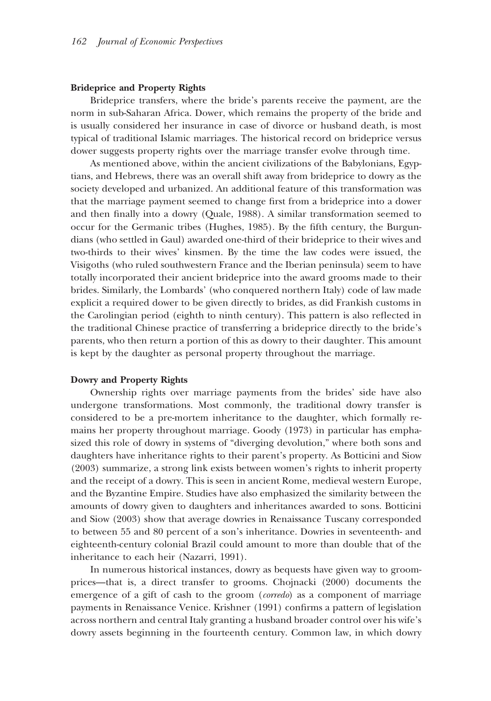#### **Brideprice and Property Rights**

Brideprice transfers, where the bride's parents receive the payment, are the norm in sub-Saharan Africa. Dower, which remains the property of the bride and is usually considered her insurance in case of divorce or husband death, is most typical of traditional Islamic marriages. The historical record on brideprice versus dower suggests property rights over the marriage transfer evolve through time.

As mentioned above, within the ancient civilizations of the Babylonians, Egyptians, and Hebrews, there was an overall shift away from brideprice to dowry as the society developed and urbanized. An additional feature of this transformation was that the marriage payment seemed to change first from a brideprice into a dower and then finally into a dowry (Quale, 1988). A similar transformation seemed to occur for the Germanic tribes (Hughes, 1985). By the fifth century, the Burgundians (who settled in Gaul) awarded one-third of their brideprice to their wives and two-thirds to their wives' kinsmen. By the time the law codes were issued, the Visigoths (who ruled southwestern France and the Iberian peninsula) seem to have totally incorporated their ancient brideprice into the award grooms made to their brides. Similarly, the Lombards' (who conquered northern Italy) code of law made explicit a required dower to be given directly to brides, as did Frankish customs in the Carolingian period (eighth to ninth century). This pattern is also reflected in the traditional Chinese practice of transferring a brideprice directly to the bride's parents, who then return a portion of this as dowry to their daughter. This amount is kept by the daughter as personal property throughout the marriage.

#### **Dowry and Property Rights**

Ownership rights over marriage payments from the brides' side have also undergone transformations. Most commonly, the traditional dowry transfer is considered to be a pre-mortem inheritance to the daughter, which formally remains her property throughout marriage. Goody (1973) in particular has emphasized this role of dowry in systems of "diverging devolution," where both sons and daughters have inheritance rights to their parent's property. As Botticini and Siow (2003) summarize, a strong link exists between women's rights to inherit property and the receipt of a dowry. This is seen in ancient Rome, medieval western Europe, and the Byzantine Empire. Studies have also emphasized the similarity between the amounts of dowry given to daughters and inheritances awarded to sons. Botticini and Siow (2003) show that average dowries in Renaissance Tuscany corresponded to between 55 and 80 percent of a son's inheritance. Dowries in seventeenth- and eighteenth-century colonial Brazil could amount to more than double that of the inheritance to each heir (Nazarri, 1991).

In numerous historical instances, dowry as bequests have given way to groomprices—that is, a direct transfer to grooms. Chojnacki (2000) documents the emergence of a gift of cash to the groom (*corredo*) as a component of marriage payments in Renaissance Venice. Krishner (1991) confirms a pattern of legislation across northern and central Italy granting a husband broader control over his wife's dowry assets beginning in the fourteenth century. Common law, in which dowry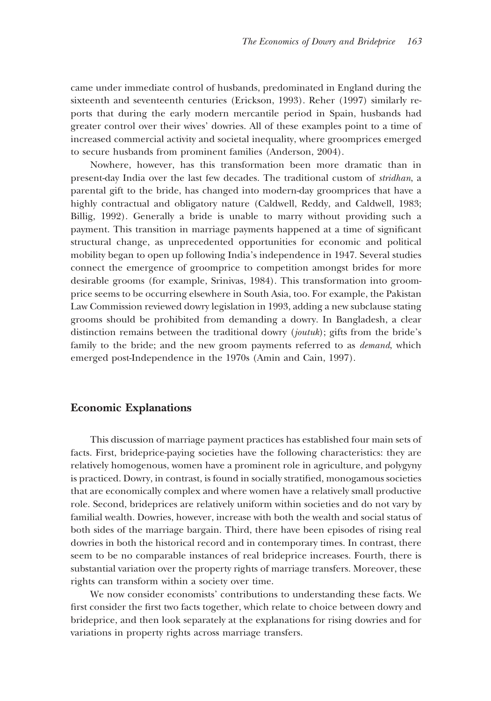came under immediate control of husbands, predominated in England during the sixteenth and seventeenth centuries (Erickson, 1993). Reher (1997) similarly reports that during the early modern mercantile period in Spain, husbands had greater control over their wives' dowries. All of these examples point to a time of increased commercial activity and societal inequality, where groomprices emerged to secure husbands from prominent families (Anderson, 2004).

Nowhere, however, has this transformation been more dramatic than in present-day India over the last few decades. The traditional custom of *stridhan*, a parental gift to the bride, has changed into modern-day groomprices that have a highly contractual and obligatory nature (Caldwell, Reddy, and Caldwell, 1983; Billig, 1992). Generally a bride is unable to marry without providing such a payment. This transition in marriage payments happened at a time of significant structural change, as unprecedented opportunities for economic and political mobility began to open up following India's independence in 1947. Several studies connect the emergence of groomprice to competition amongst brides for more desirable grooms (for example, Srinivas, 1984). This transformation into groomprice seems to be occurring elsewhere in South Asia, too. For example, the Pakistan Law Commission reviewed dowry legislation in 1993, adding a new subclause stating grooms should be prohibited from demanding a dowry. In Bangladesh, a clear distinction remains between the traditional dowry (*joutuk*); gifts from the bride's family to the bride; and the new groom payments referred to as *demand*, which emerged post-Independence in the 1970s (Amin and Cain, 1997).

## **Economic Explanations**

This discussion of marriage payment practices has established four main sets of facts. First, brideprice-paying societies have the following characteristics: they are relatively homogenous, women have a prominent role in agriculture, and polygyny is practiced. Dowry, in contrast, is found in socially stratified, monogamous societies that are economically complex and where women have a relatively small productive role. Second, brideprices are relatively uniform within societies and do not vary by familial wealth. Dowries, however, increase with both the wealth and social status of both sides of the marriage bargain. Third, there have been episodes of rising real dowries in both the historical record and in contemporary times. In contrast, there seem to be no comparable instances of real brideprice increases. Fourth, there is substantial variation over the property rights of marriage transfers. Moreover, these rights can transform within a society over time.

We now consider economists' contributions to understanding these facts. We first consider the first two facts together, which relate to choice between dowry and brideprice, and then look separately at the explanations for rising dowries and for variations in property rights across marriage transfers.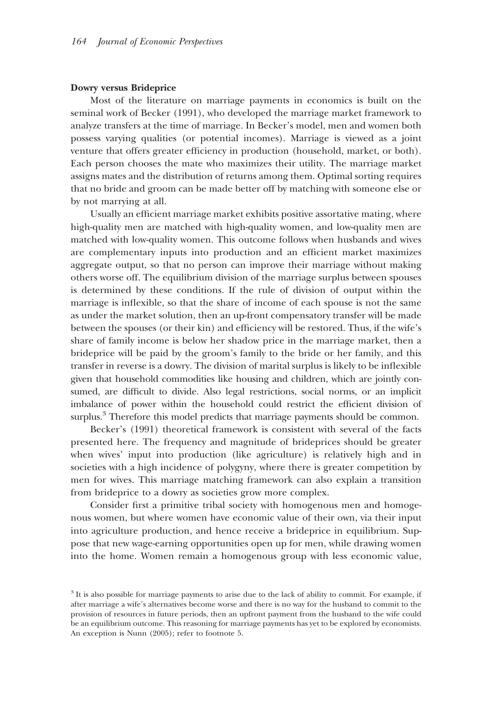#### **Dowry versus Brideprice**

Most of the literature on marriage payments in economics is built on the seminal work of Becker (1991), who developed the marriage market framework to analyze transfers at the time of marriage. In Becker's model, men and women both possess varying qualities (or potential incomes). Marriage is viewed as a joint venture that offers greater efficiency in production (household, market, or both). Each person chooses the mate who maximizes their utility. The marriage market assigns mates and the distribution of returns among them. Optimal sorting requires that no bride and groom can be made better off by matching with someone else or by not marrying at all.

Usually an efficient marriage market exhibits positive assortative mating, where high-quality men are matched with high-quality women, and low-quality men are matched with low-quality women. This outcome follows when husbands and wives are complementary inputs into production and an efficient market maximizes aggregate output, so that no person can improve their marriage without making others worse off. The equilibrium division of the marriage surplus between spouses is determined by these conditions. If the rule of division of output within the marriage is inflexible, so that the share of income of each spouse is not the same as under the market solution, then an up-front compensatory transfer will be made between the spouses (or their kin) and efficiency will be restored. Thus, if the wife's share of family income is below her shadow price in the marriage market, then a brideprice will be paid by the groom's family to the bride or her family, and this transfer in reverse is a dowry. The division of marital surplus is likely to be inflexible given that household commodities like housing and children, which are jointly consumed, are difficult to divide. Also legal restrictions, social norms, or an implicit imbalance of power within the household could restrict the efficient division of surplus.<sup>3</sup> Therefore this model predicts that marriage payments should be common.

Becker's (1991) theoretical framework is consistent with several of the facts presented here. The frequency and magnitude of brideprices should be greater when wives' input into production (like agriculture) is relatively high and in societies with a high incidence of polygyny, where there is greater competition by men for wives. This marriage matching framework can also explain a transition from brideprice to a dowry as societies grow more complex.

Consider first a primitive tribal society with homogenous men and homogenous women, but where women have economic value of their own, via their input into agriculture production, and hence receive a brideprice in equilibrium. Suppose that new wage-earning opportunities open up for men, while drawing women into the home. Women remain a homogenous group with less economic value,

 $3$  It is also possible for marriage payments to arise due to the lack of ability to commit. For example, if after marriage a wife's alternatives become worse and there is no way for the husband to commit to the provision of resources in future periods, then an upfront payment from the husband to the wife could be an equilibrium outcome. This reasoning for marriage payments has yet to be explored by economists. An exception is Nunn (2005); refer to footnote 5.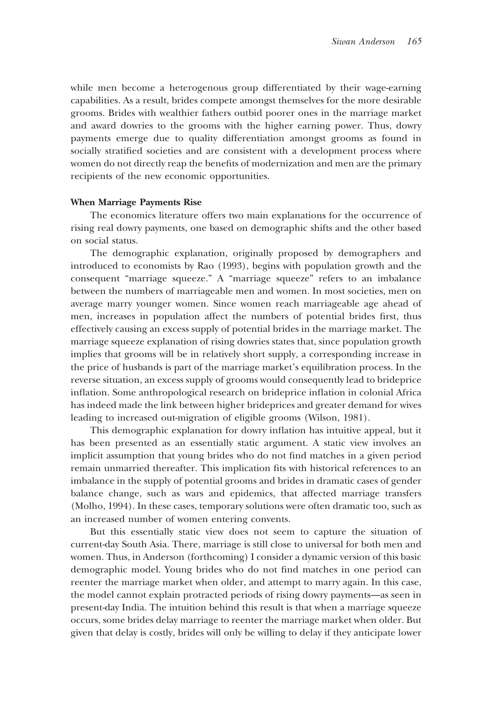while men become a heterogenous group differentiated by their wage-earning capabilities. As a result, brides compete amongst themselves for the more desirable grooms. Brides with wealthier fathers outbid poorer ones in the marriage market and award dowries to the grooms with the higher earning power. Thus, dowry payments emerge due to quality differentiation amongst grooms as found in socially stratified societies and are consistent with a development process where women do not directly reap the benefits of modernization and men are the primary recipients of the new economic opportunities.

#### **When Marriage Payments Rise**

The economics literature offers two main explanations for the occurrence of rising real dowry payments, one based on demographic shifts and the other based on social status.

The demographic explanation, originally proposed by demographers and introduced to economists by Rao (1993), begins with population growth and the consequent "marriage squeeze." A "marriage squeeze" refers to an imbalance between the numbers of marriageable men and women. In most societies, men on average marry younger women. Since women reach marriageable age ahead of men, increases in population affect the numbers of potential brides first, thus effectively causing an excess supply of potential brides in the marriage market. The marriage squeeze explanation of rising dowries states that, since population growth implies that grooms will be in relatively short supply, a corresponding increase in the price of husbands is part of the marriage market's equilibration process. In the reverse situation, an excess supply of grooms would consequently lead to brideprice inflation. Some anthropological research on brideprice inflation in colonial Africa has indeed made the link between higher brideprices and greater demand for wives leading to increased out-migration of eligible grooms (Wilson, 1981).

This demographic explanation for dowry inflation has intuitive appeal, but it has been presented as an essentially static argument. A static view involves an implicit assumption that young brides who do not find matches in a given period remain unmarried thereafter. This implication fits with historical references to an imbalance in the supply of potential grooms and brides in dramatic cases of gender balance change, such as wars and epidemics, that affected marriage transfers (Molho, 1994). In these cases, temporary solutions were often dramatic too, such as an increased number of women entering convents.

But this essentially static view does not seem to capture the situation of current-day South Asia. There, marriage is still close to universal for both men and women. Thus, in Anderson (forthcoming) I consider a dynamic version of this basic demographic model. Young brides who do not find matches in one period can reenter the marriage market when older, and attempt to marry again. In this case, the model cannot explain protracted periods of rising dowry payments—as seen in present-day India. The intuition behind this result is that when a marriage squeeze occurs, some brides delay marriage to reenter the marriage market when older. But given that delay is costly, brides will only be willing to delay if they anticipate lower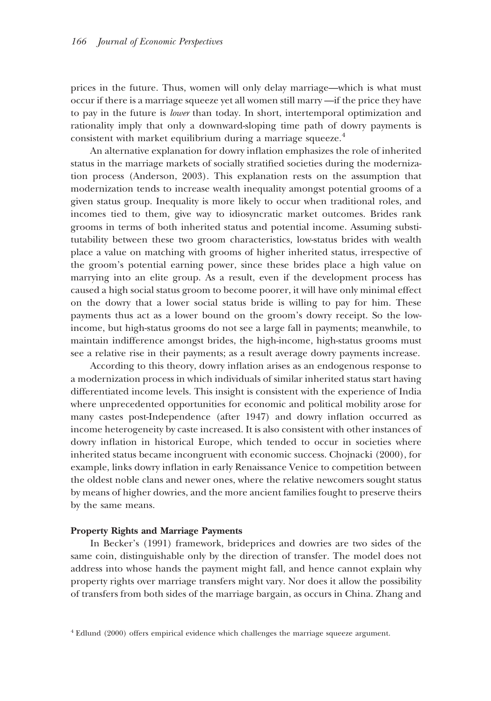prices in the future. Thus, women will only delay marriage—which is what must occur if there is a marriage squeeze yet all women still marry —if the price they have to pay in the future is *lower* than today. In short, intertemporal optimization and rationality imply that only a downward-sloping time path of dowry payments is consistent with market equilibrium during a marriage squeeze.<sup>4</sup>

An alternative explanation for dowry inflation emphasizes the role of inherited status in the marriage markets of socially stratified societies during the modernization process (Anderson, 2003). This explanation rests on the assumption that modernization tends to increase wealth inequality amongst potential grooms of a given status group. Inequality is more likely to occur when traditional roles, and incomes tied to them, give way to idiosyncratic market outcomes. Brides rank grooms in terms of both inherited status and potential income. Assuming substitutability between these two groom characteristics, low-status brides with wealth place a value on matching with grooms of higher inherited status, irrespective of the groom's potential earning power, since these brides place a high value on marrying into an elite group. As a result, even if the development process has caused a high social status groom to become poorer, it will have only minimal effect on the dowry that a lower social status bride is willing to pay for him. These payments thus act as a lower bound on the groom's dowry receipt. So the lowincome, but high-status grooms do not see a large fall in payments; meanwhile, to maintain indifference amongst brides, the high-income, high-status grooms must see a relative rise in their payments; as a result average dowry payments increase.

According to this theory, dowry inflation arises as an endogenous response to a modernization process in which individuals of similar inherited status start having differentiated income levels. This insight is consistent with the experience of India where unprecedented opportunities for economic and political mobility arose for many castes post-Independence (after 1947) and dowry inflation occurred as income heterogeneity by caste increased. It is also consistent with other instances of dowry inflation in historical Europe, which tended to occur in societies where inherited status became incongruent with economic success. Chojnacki (2000), for example, links dowry inflation in early Renaissance Venice to competition between the oldest noble clans and newer ones, where the relative newcomers sought status by means of higher dowries, and the more ancient families fought to preserve theirs by the same means.

## **Property Rights and Marriage Payments**

In Becker's (1991) framework, brideprices and dowries are two sides of the same coin, distinguishable only by the direction of transfer. The model does not address into whose hands the payment might fall, and hence cannot explain why property rights over marriage transfers might vary. Nor does it allow the possibility of transfers from both sides of the marriage bargain, as occurs in China. Zhang and

<sup>&</sup>lt;sup>4</sup> Edlund (2000) offers empirical evidence which challenges the marriage squeeze argument.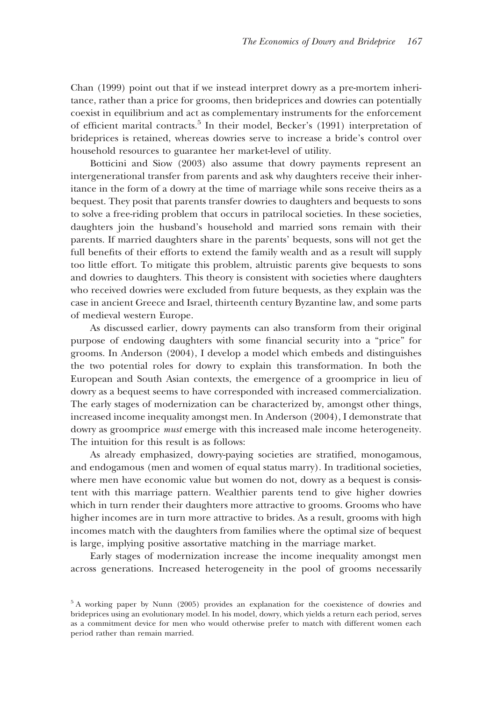Chan (1999) point out that if we instead interpret dowry as a pre-mortem inheritance, rather than a price for grooms, then brideprices and dowries can potentially coexist in equilibrium and act as complementary instruments for the enforcement of efficient marital contracts.<sup>5</sup> In their model, Becker's (1991) interpretation of brideprices is retained, whereas dowries serve to increase a bride's control over household resources to guarantee her market-level of utility.

Botticini and Siow (2003) also assume that dowry payments represent an intergenerational transfer from parents and ask why daughters receive their inheritance in the form of a dowry at the time of marriage while sons receive theirs as a bequest. They posit that parents transfer dowries to daughters and bequests to sons to solve a free-riding problem that occurs in patrilocal societies. In these societies, daughters join the husband's household and married sons remain with their parents. If married daughters share in the parents' bequests, sons will not get the full benefits of their efforts to extend the family wealth and as a result will supply too little effort. To mitigate this problem, altruistic parents give bequests to sons and dowries to daughters. This theory is consistent with societies where daughters who received dowries were excluded from future bequests, as they explain was the case in ancient Greece and Israel, thirteenth century Byzantine law, and some parts of medieval western Europe.

As discussed earlier, dowry payments can also transform from their original purpose of endowing daughters with some financial security into a "price" for grooms. In Anderson (2004), I develop a model which embeds and distinguishes the two potential roles for dowry to explain this transformation. In both the European and South Asian contexts, the emergence of a groomprice in lieu of dowry as a bequest seems to have corresponded with increased commercialization. The early stages of modernization can be characterized by, amongst other things, increased income inequality amongst men. In Anderson (2004), I demonstrate that dowry as groomprice *must* emerge with this increased male income heterogeneity. The intuition for this result is as follows:

As already emphasized, dowry-paying societies are stratified, monogamous, and endogamous (men and women of equal status marry). In traditional societies, where men have economic value but women do not, dowry as a bequest is consistent with this marriage pattern. Wealthier parents tend to give higher dowries which in turn render their daughters more attractive to grooms. Grooms who have higher incomes are in turn more attractive to brides. As a result, grooms with high incomes match with the daughters from families where the optimal size of bequest is large, implying positive assortative matching in the marriage market.

Early stages of modernization increase the income inequality amongst men across generations. Increased heterogeneity in the pool of grooms necessarily

<sup>5</sup> A working paper by Nunn (2005) provides an explanation for the coexistence of dowries and brideprices using an evolutionary model. In his model, dowry, which yields a return each period, serves as a commitment device for men who would otherwise prefer to match with different women each period rather than remain married.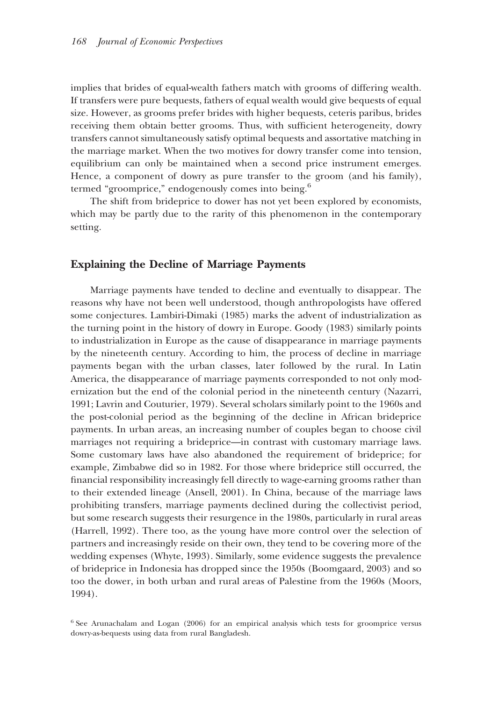implies that brides of equal-wealth fathers match with grooms of differing wealth. If transfers were pure bequests, fathers of equal wealth would give bequests of equal size. However, as grooms prefer brides with higher bequests, ceteris paribus, brides receiving them obtain better grooms. Thus, with sufficient heterogeneity, dowry transfers cannot simultaneously satisfy optimal bequests and assortative matching in the marriage market. When the two motives for dowry transfer come into tension, equilibrium can only be maintained when a second price instrument emerges. Hence, a component of dowry as pure transfer to the groom (and his family), termed "groomprice," endogenously comes into being.6

The shift from brideprice to dower has not yet been explored by economists, which may be partly due to the rarity of this phenomenon in the contemporary setting.

## **Explaining the Decline of Marriage Payments**

Marriage payments have tended to decline and eventually to disappear. The reasons why have not been well understood, though anthropologists have offered some conjectures. Lambiri-Dimaki (1985) marks the advent of industrialization as the turning point in the history of dowry in Europe. Goody (1983) similarly points to industrialization in Europe as the cause of disappearance in marriage payments by the nineteenth century. According to him, the process of decline in marriage payments began with the urban classes, later followed by the rural. In Latin America, the disappearance of marriage payments corresponded to not only modernization but the end of the colonial period in the nineteenth century (Nazarri, 1991; Lavrin and Couturier, 1979). Several scholars similarly point to the 1960s and the post-colonial period as the beginning of the decline in African brideprice payments. In urban areas, an increasing number of couples began to choose civil marriages not requiring a brideprice—in contrast with customary marriage laws. Some customary laws have also abandoned the requirement of brideprice; for example, Zimbabwe did so in 1982. For those where brideprice still occurred, the financial responsibility increasingly fell directly to wage-earning grooms rather than to their extended lineage (Ansell, 2001). In China, because of the marriage laws prohibiting transfers, marriage payments declined during the collectivist period, but some research suggests their resurgence in the 1980s, particularly in rural areas (Harrell, 1992). There too, as the young have more control over the selection of partners and increasingly reside on their own, they tend to be covering more of the wedding expenses (Whyte, 1993). Similarly, some evidence suggests the prevalence of brideprice in Indonesia has dropped since the 1950s (Boomgaard, 2003) and so too the dower, in both urban and rural areas of Palestine from the 1960s (Moors, 1994).

<sup>&</sup>lt;sup>6</sup> See Arunachalam and Logan (2006) for an empirical analysis which tests for groomprice versus dowry-as-bequests using data from rural Bangladesh.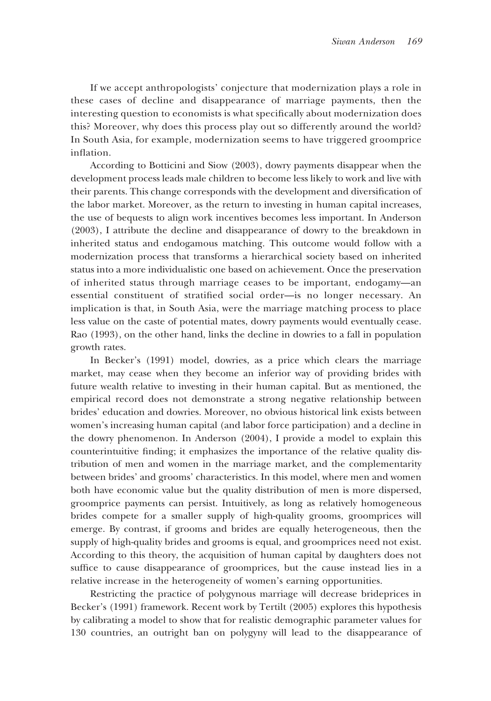If we accept anthropologists' conjecture that modernization plays a role in these cases of decline and disappearance of marriage payments, then the interesting question to economists is what specifically about modernization does this? Moreover, why does this process play out so differently around the world? In South Asia, for example, modernization seems to have triggered groomprice inflation.

According to Botticini and Siow (2003), dowry payments disappear when the development process leads male children to become less likely to work and live with their parents. This change corresponds with the development and diversification of the labor market. Moreover, as the return to investing in human capital increases, the use of bequests to align work incentives becomes less important. In Anderson (2003), I attribute the decline and disappearance of dowry to the breakdown in inherited status and endogamous matching. This outcome would follow with a modernization process that transforms a hierarchical society based on inherited status into a more individualistic one based on achievement. Once the preservation of inherited status through marriage ceases to be important, endogamy—an essential constituent of stratified social order—is no longer necessary. An implication is that, in South Asia, were the marriage matching process to place less value on the caste of potential mates, dowry payments would eventually cease. Rao (1993), on the other hand, links the decline in dowries to a fall in population growth rates.

In Becker's (1991) model, dowries, as a price which clears the marriage market, may cease when they become an inferior way of providing brides with future wealth relative to investing in their human capital. But as mentioned, the empirical record does not demonstrate a strong negative relationship between brides' education and dowries. Moreover, no obvious historical link exists between women's increasing human capital (and labor force participation) and a decline in the dowry phenomenon. In Anderson (2004), I provide a model to explain this counterintuitive finding; it emphasizes the importance of the relative quality distribution of men and women in the marriage market, and the complementarity between brides' and grooms' characteristics. In this model, where men and women both have economic value but the quality distribution of men is more dispersed, groomprice payments can persist. Intuitively, as long as relatively homogeneous brides compete for a smaller supply of high-quality grooms, groomprices will emerge. By contrast, if grooms and brides are equally heterogeneous, then the supply of high-quality brides and grooms is equal, and groomprices need not exist. According to this theory, the acquisition of human capital by daughters does not suffice to cause disappearance of groomprices, but the cause instead lies in a relative increase in the heterogeneity of women's earning opportunities.

Restricting the practice of polygynous marriage will decrease brideprices in Becker's (1991) framework. Recent work by Tertilt (2005) explores this hypothesis by calibrating a model to show that for realistic demographic parameter values for 130 countries, an outright ban on polygyny will lead to the disappearance of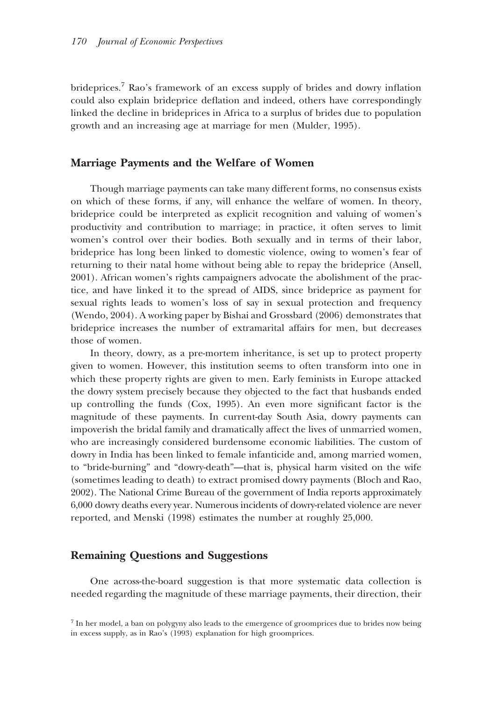brideprices.<sup>7</sup> Rao's framework of an excess supply of brides and dowry inflation could also explain brideprice deflation and indeed, others have correspondingly linked the decline in brideprices in Africa to a surplus of brides due to population growth and an increasing age at marriage for men (Mulder, 1995).

# **Marriage Payments and the Welfare of Women**

Though marriage payments can take many different forms, no consensus exists on which of these forms, if any, will enhance the welfare of women. In theory, brideprice could be interpreted as explicit recognition and valuing of women's productivity and contribution to marriage; in practice, it often serves to limit women's control over their bodies. Both sexually and in terms of their labor, brideprice has long been linked to domestic violence, owing to women's fear of returning to their natal home without being able to repay the brideprice (Ansell, 2001). African women's rights campaigners advocate the abolishment of the practice, and have linked it to the spread of AIDS, since brideprice as payment for sexual rights leads to women's loss of say in sexual protection and frequency (Wendo, 2004). A working paper by Bishai and Grossbard (2006) demonstrates that brideprice increases the number of extramarital affairs for men, but decreases those of women.

In theory, dowry, as a pre-mortem inheritance, is set up to protect property given to women. However, this institution seems to often transform into one in which these property rights are given to men. Early feminists in Europe attacked the dowry system precisely because they objected to the fact that husbands ended up controlling the funds (Cox, 1995). An even more significant factor is the magnitude of these payments. In current-day South Asia, dowry payments can impoverish the bridal family and dramatically affect the lives of unmarried women, who are increasingly considered burdensome economic liabilities. The custom of dowry in India has been linked to female infanticide and, among married women, to "bride-burning" and "dowry-death"—that is, physical harm visited on the wife (sometimes leading to death) to extract promised dowry payments (Bloch and Rao, 2002). The National Crime Bureau of the government of India reports approximately 6,000 dowry deaths every year. Numerous incidents of dowry-related violence are never reported, and Menski (1998) estimates the number at roughly 25,000.

# **Remaining Questions and Suggestions**

One across-the-board suggestion is that more systematic data collection is needed regarding the magnitude of these marriage payments, their direction, their

<sup>7</sup> In her model, a ban on polygyny also leads to the emergence of groomprices due to brides now being in excess supply, as in Rao's (1993) explanation for high groomprices.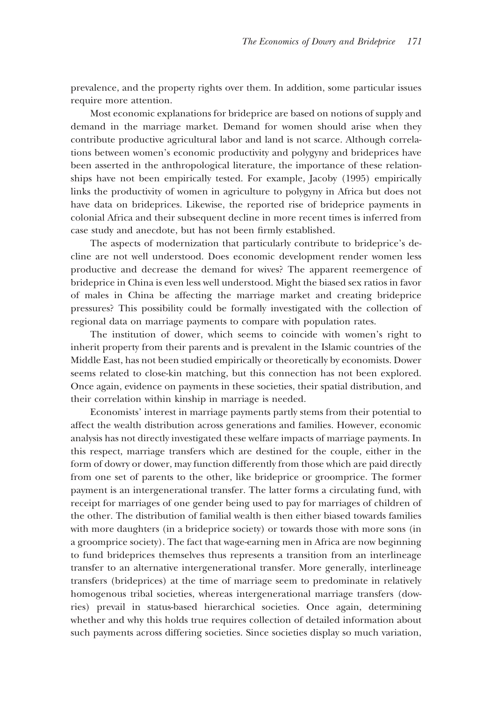prevalence, and the property rights over them. In addition, some particular issues require more attention.

Most economic explanations for brideprice are based on notions of supply and demand in the marriage market. Demand for women should arise when they contribute productive agricultural labor and land is not scarce. Although correlations between women's economic productivity and polygyny and brideprices have been asserted in the anthropological literature, the importance of these relationships have not been empirically tested. For example, Jacoby (1995) empirically links the productivity of women in agriculture to polygyny in Africa but does not have data on brideprices. Likewise, the reported rise of brideprice payments in colonial Africa and their subsequent decline in more recent times is inferred from case study and anecdote, but has not been firmly established.

The aspects of modernization that particularly contribute to brideprice's decline are not well understood. Does economic development render women less productive and decrease the demand for wives? The apparent reemergence of brideprice in China is even less well understood. Might the biased sex ratios in favor of males in China be affecting the marriage market and creating brideprice pressures? This possibility could be formally investigated with the collection of regional data on marriage payments to compare with population rates.

The institution of dower, which seems to coincide with women's right to inherit property from their parents and is prevalent in the Islamic countries of the Middle East, has not been studied empirically or theoretically by economists. Dower seems related to close-kin matching, but this connection has not been explored. Once again, evidence on payments in these societies, their spatial distribution, and their correlation within kinship in marriage is needed.

Economists' interest in marriage payments partly stems from their potential to affect the wealth distribution across generations and families. However, economic analysis has not directly investigated these welfare impacts of marriage payments. In this respect, marriage transfers which are destined for the couple, either in the form of dowry or dower, may function differently from those which are paid directly from one set of parents to the other, like brideprice or groomprice. The former payment is an intergenerational transfer. The latter forms a circulating fund, with receipt for marriages of one gender being used to pay for marriages of children of the other. The distribution of familial wealth is then either biased towards families with more daughters (in a brideprice society) or towards those with more sons (in a groomprice society). The fact that wage-earning men in Africa are now beginning to fund brideprices themselves thus represents a transition from an interlineage transfer to an alternative intergenerational transfer. More generally, interlineage transfers (brideprices) at the time of marriage seem to predominate in relatively homogenous tribal societies, whereas intergenerational marriage transfers (dowries) prevail in status-based hierarchical societies. Once again, determining whether and why this holds true requires collection of detailed information about such payments across differing societies. Since societies display so much variation,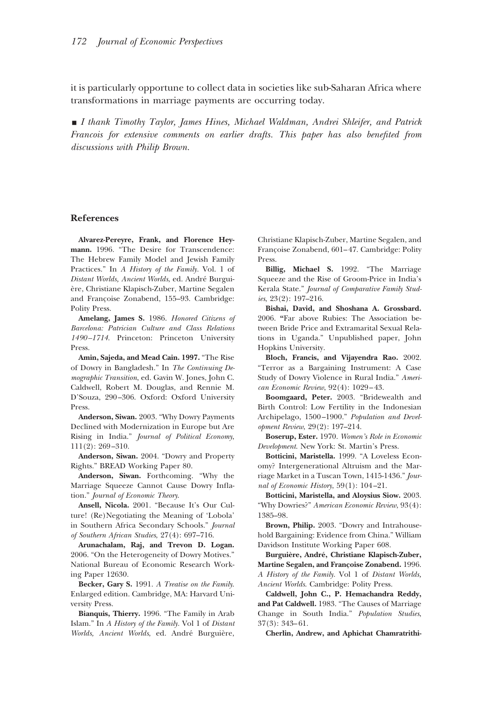it is particularly opportune to collect data in societies like sub-Saharan Africa where transformations in marriage payments are occurring today.

y *I thank Timothy Taylor, James Hines, Michael Waldman, Andrei Shleifer, and Patrick Francois for extensive comments on earlier drafts. This paper has also benefited from discussions with Philip Brown.*

#### **References**

**Alvarez-Pereyre, Frank, and Florence Heymann.** 1996. "The Desire for Transcendence: The Hebrew Family Model and Jewish Family Practices." In *A History of the Family.* Vol. 1 of *Distant Worlds, Ancient Worlds*, ed. Andre´ Burguie`re, Christiane Klapisch-Zuber, Martine Segalen and Françoise Zonabend, 155-93. Cambridge: Polity Press.

**Amelang, James S.** 1986. *Honored Citizens of Barcelona: Patrician Culture and Class Relations 1490–1714*. Princeton: Princeton University Press.

**Amin, Sajeda, and Mead Cain. 1997.** "The Rise of Dowry in Bangladesh." In *The Continuing Demographic Transition*, ed. Gavin W. Jones, John C. Caldwell, Robert M. Douglas, and Rennie M. D'Souza, 290–306. Oxford: Oxford University Press.

**Anderson, Siwan.** 2003. "Why Dowry Payments Declined with Modernization in Europe but Are Rising in India." *Journal of Political Economy*, 111(2): 269–310.

**Anderson, Siwan.** 2004. "Dowry and Property Rights." BREAD Working Paper 80.

**Anderson, Siwan.** Forthcoming. "Why the Marriage Squeeze Cannot Cause Dowry Inflation." *Journal of Economic Theory*.

**Ansell, Nicola.** 2001. "Because It's Our Culture! (Re)Negotiating the Meaning of 'Lobola' in Southern Africa Secondary Schools." *Journal of Southern African Studies*, 27(4): 697–716.

**Arunachalam, Raj, and Trevon D. Logan.** 2006. "On the Heterogeneity of Dowry Motives." National Bureau of Economic Research Working Paper 12630.

**Becker, Gary S.** 1991. *A Treatise on the Family*. Enlarged edition. Cambridge, MA: Harvard University Press.

**Bianquis, Thierry.** 1996. "The Family in Arab Islam." In *A History of the Family.* Vol 1 of *Distant Worlds, Ancient Worlds, ed. André Burguière,* 

Christiane Klapisch-Zuber, Martine Segalen, and Françoise Zonabend, 601-47. Cambridge: Polity Press.

**Billig, Michael S.** 1992. "The Marriage Squeeze and the Rise of Groom-Price in India's Kerala State." *Journal of Comparative Family Studies*, 23(2): 197–216.

**Bishai, David, and Shoshana A. Grossbard.** 2006. **"**Far above Rubies: The Association between Bride Price and Extramarital Sexual Relations in Uganda." Unpublished paper, John Hopkins University.

**Bloch, Francis, and Vijayendra Rao.** 2002. "Terror as a Bargaining Instrument: A Case Study of Dowry Violence in Rural India." *American Economic Review*, 92(4): 1029–43.

**Boomgaard, Peter.** 2003. "Bridewealth and Birth Control: Low Fertility in the Indonesian Archipelago, 1500–1900." *Population and Development Review*, 29(2): 197–214.

**Boserup, Ester.** 1970. *Women's Role in Economic Development*. New York: St. Martin's Press.

**Botticini, Maristella.** 1999. "A Loveless Economy? Intergenerational Altruism and the Marriage Market in a Tuscan Town, 1415-1436." *Journal of Economic History*, 59(1): 104–21.

**Botticini, Maristella, and Aloysius Siow.** 2003. "Why Dowries?" *American Economic Review*, 93(4): 1385–98.

**Brown, Philip.** 2003. "Dowry and Intrahousehold Bargaining: Evidence from China." William Davidson Institute Working Paper 608.

**Burguie`re, Andre´, Christiane Klapisch-Zuber,** Martine Segalen, and Françoise Zonabend. 1996. *A History of the Family.* Vol 1 of *Distant Worlds, Ancient Worlds*. Cambridge: Polity Press.

**Caldwell, John C., P. Hemachandra Reddy, and Pat Caldwell.** 1983. "The Causes of Marriage Change in South India." *Population Studies*, 37(3): 343–61.

**Cherlin, Andrew, and Aphichat Chamratrithi-**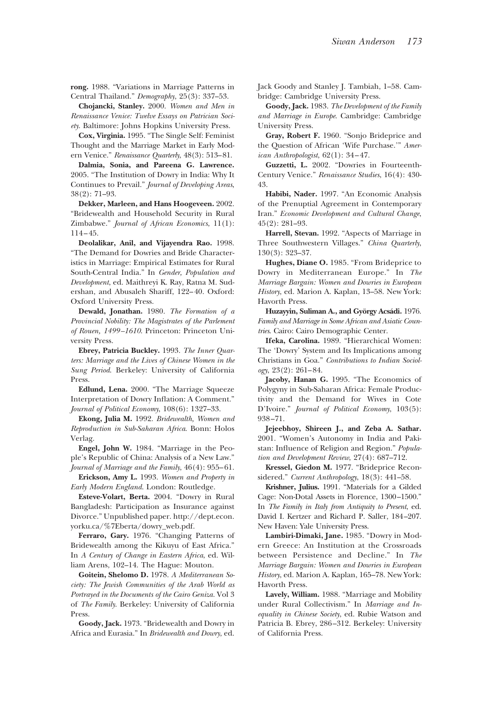**rong.** 1988. "Variations in Marriage Patterns in Central Thailand." *Demography*, 25(3): 337–53.

**Chojancki, Stanley.** 2000. *Women and Men in Renaissance Venice: Twelve Essays on Patrician Society*. Baltimore: Johns Hopkins University Press.

**Cox, Virginia.** 1995. "The Single Self: Feminist Thought and the Marriage Market in Early Modern Venice." *Renaissance Quarterly*, 48(3): 513–81.

**Dalmia, Sonia, and Pareena G. Lawrence.** 2005. "The Institution of Dowry in India: Why It Continues to Prevail." *Journal of Developing Areas*, 38(2): 71–93.

**Dekker, Marleen, and Hans Hoogeveen.** 2002. "Bridewealth and Household Security in Rural Zimbabwe." *Journal of African Economics*, 11(1): 114–45.

**Deolalikar, Anil, and Vijayendra Rao.** 1998. "The Demand for Dowries and Bride Characteristics in Marriage: Empirical Estimates for Rural South-Central India." In *Gender, Population and Development*, ed. Maithreyi K. Ray, Ratna M. Sudershan, and Abusaleh Shariff, 122–40. Oxford: Oxford University Press.

**Dewald, Jonathan.** 1980. *The Formation of a Provincial Nobility: The Magistrates of the Parlement of Rouen, 1499–1610*. Princeton: Princeton University Press.

**Ebrey, Patricia Buckley.** 1993. *The Inner Quarters: Marriage and the Lives of Chinese Women in the Sung Period*. Berkeley: University of California Press.

**Edlund, Lena.** 2000. "The Marriage Squeeze Interpretation of Dowry Inflation: A Comment." *Journal of Political Economy*, 108(6): 1327–33.

**Ekong, Julia M.** 1992. *Bridewealth, Women and Reproduction in Sub-Saharan Africa*. Bonn: Holos Verlag.

**Engel, John W.** 1984. "Marriage in the People's Republic of China: Analysis of a New Law." *Journal of Marriage and the Family*, 46(4): 955–61.

**Erickson, Amy L.** 1993. *Women and Property in Early Modern England*. London: Routledge.

**Esteve-Volart, Berta.** 2004. "Dowry in Rural Bangladesh: Participation as Insurance against Divorce." Unpublished paper. http://dept.econ. yorku.ca/%7Eberta/dowry\_web.pdf.

**Ferraro, Gary.** 1976. "Changing Patterns of Bridewealth among the Kikuyu of East Africa." In *A Century of Change in Eastern Africa*, ed. William Arens, 102–14. The Hague: Mouton.

**Goitein, Shelomo D.** 1978. *A Mediterranean Society: The Jewish Communities of the Arab World as Portrayed in the Documents of the Cairo Geniza.* Vol 3 of *The Family*. Berkeley: University of California Press.

**Goody, Jack.** 1973. "Bridewealth and Dowry in Africa and Eurasia." In *Bridewealth and Dowry*, ed. Jack Goody and Stanley J. Tambiah, 1–58. Cambridge: Cambridge University Press.

**Goody, Jack.** 1983. *The Development of the Family and Marriage in Europe*. Cambridge: Cambridge University Press.

**Gray, Robert F.** 1960. "Sonjo Brideprice and the Question of African 'Wife Purchase.'" *American Anthropologist*, 62(1): 34–47.

**Guzzetti, L.** 2002. "Dowries in Fourteenth-Century Venice." *Renaissance Studies*, 16(4): 430- 43.

**Habibi, Nader.** 1997. "An Economic Analysis of the Prenuptial Agreement in Contemporary Iran." *Economic Development and Cultural Change*, 45(2): 281–93.

**Harrell, Stevan.** 1992. "Aspects of Marriage in Three Southwestern Villages." *China Quarterly*, 130(3): 323–37.

**Hughes, Diane O.** 1985. "From Brideprice to Dowry in Mediterranean Europe." In *The Marriage Bargain: Women and Dowries in European History*, ed. Marion A. Kaplan, 13–58. New York: Havorth Press.

Huzayyin, Suliman A., and György Acsádi. 1976. *Family and Marriage in Some African and Asiatic Countries*. Cairo: Cairo Demographic Center.

**Ifeka, Carolina.** 1989. "Hierarchical Women: The 'Dowry' System and Its Implications among Christians in Goa." *Contributions to Indian Sociology*, 23(2): 261–84.

**Jacoby, Hanan G.** 1995. "The Economics of Polygyny in Sub-Saharan Africa: Female Productivity and the Demand for Wives in Cote D'Ivoire." *Journal of Political Economy*, 103(5): 938–71.

**Jejeebhoy, Shireen J., and Zeba A. Sathar.** 2001. "Women's Autonomy in India and Pakistan: Influence of Religion and Region." *Population and Development Review*, 27(4): 687–712.

**Kressel, Giedon M.** 1977. "Brideprice Reconsidered." *Current Anthropology*, 18(3): 441–58.

**Krishner, Julius.** 1991. "Materials for a Gilded Cage: Non-Dotal Assets in Florence, 1300–1500." In *The Family in Italy from Antiquity to Present*, ed. David I. Kertzer and Richard P. Saller, 184–207. New Haven: Yale University Press.

**Lambiri-Dimaki, Jane.** 1985. "Dowry in Modern Greece: An Institution at the Crossroads between Persistence and Decline." In *The Marriage Bargain: Women and Dowries in European History*, ed. Marion A. Kaplan, 165–78. New York: Havorth Press.

**Lavely, William.** 1988. "Marriage and Mobility under Rural Collectivism." In *Marriage and Inequality in Chinese Society*, ed. Rubie Watson and Patricia B. Ebrey, 286–312. Berkeley: University of California Press.